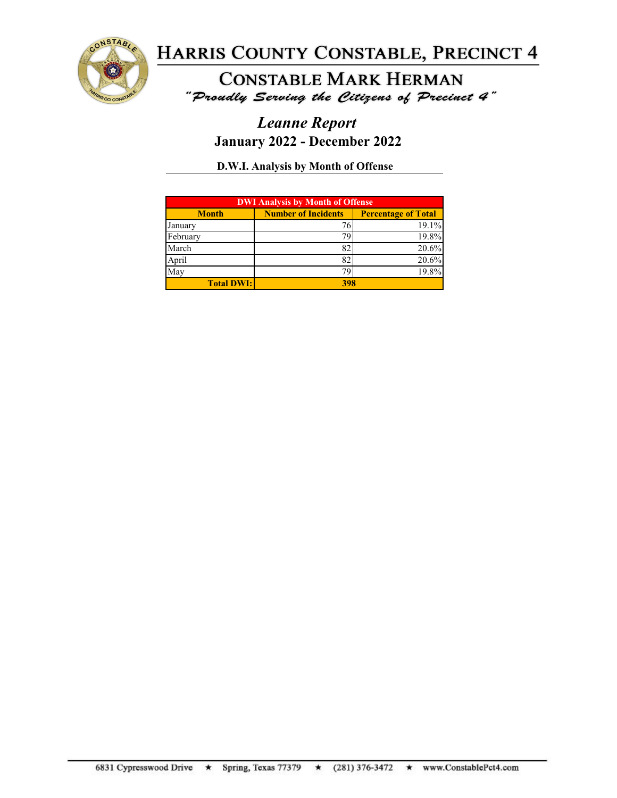

**CONSTABLE MARK HERMAN** "Proudly Serving the Citizens of Precinct 4"

## *Leanne Report* **January 2022 - December 2022**

**D.W.I. Analysis by Month of Offense**

| <b>DWI Analysis by Month of Offense</b> |                                                          |       |  |
|-----------------------------------------|----------------------------------------------------------|-------|--|
| <b>Month</b>                            | <b>Number of Incidents</b><br><b>Percentage of Total</b> |       |  |
| January                                 |                                                          | 19.1% |  |
| February                                |                                                          | 19.8% |  |
| March                                   | 82                                                       | 20.6% |  |
| April                                   | 82                                                       | 20.6% |  |
| May                                     | 7С                                                       | 19.8% |  |
| <b>Total DWI:</b>                       | 398                                                      |       |  |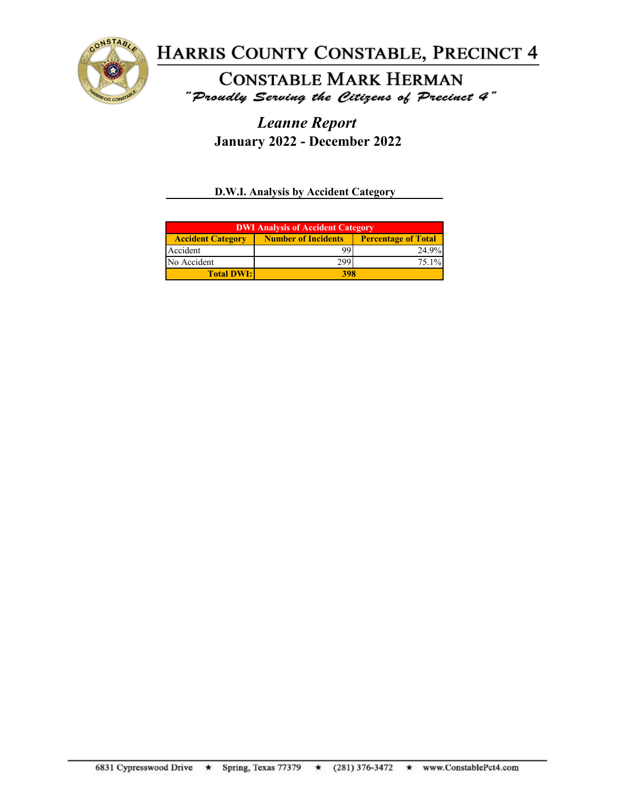

**CONSTABLE MARK HERMAN** "Proudly Serving the Citizens of Precinct 4"

*Leanne Report* **January 2022 - December 2022**

**D.W.I. Analysis by Accident Category**

| <b>DWI Analysis of Accident Category</b> |                            |                            |  |
|------------------------------------------|----------------------------|----------------------------|--|
| <b>Accident Category</b>                 | <b>Number of Incidents</b> | <b>Percentage of Total</b> |  |
| Accident                                 |                            | 24.9%                      |  |
| No Accident                              | 299                        | $75.1\%$                   |  |
| <b>Total DWI:</b>                        | 398                        |                            |  |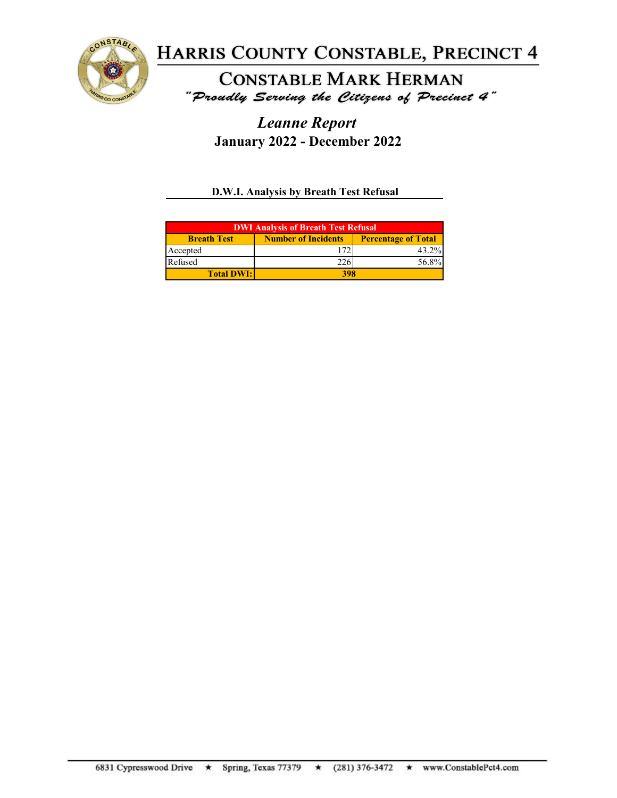

**CONSTABLE MARK HERMAN** "Proudly Serving the Citizens of Precinct 4"

*Leanne Report* **January 2022 - December 2022**

**D.W.I. Analysis by Breath Test Refusal**

| <b>DWI Analysis of Breath Test Refusal</b> |                            |                            |  |
|--------------------------------------------|----------------------------|----------------------------|--|
| <b>Breath Test</b>                         | <b>Number of Incidents</b> | <b>Percentage of Total</b> |  |
| Accepted                                   |                            | 43.2%                      |  |
| Refused                                    |                            | 56.8%                      |  |
| <b>Total DWI:</b>                          | 398                        |                            |  |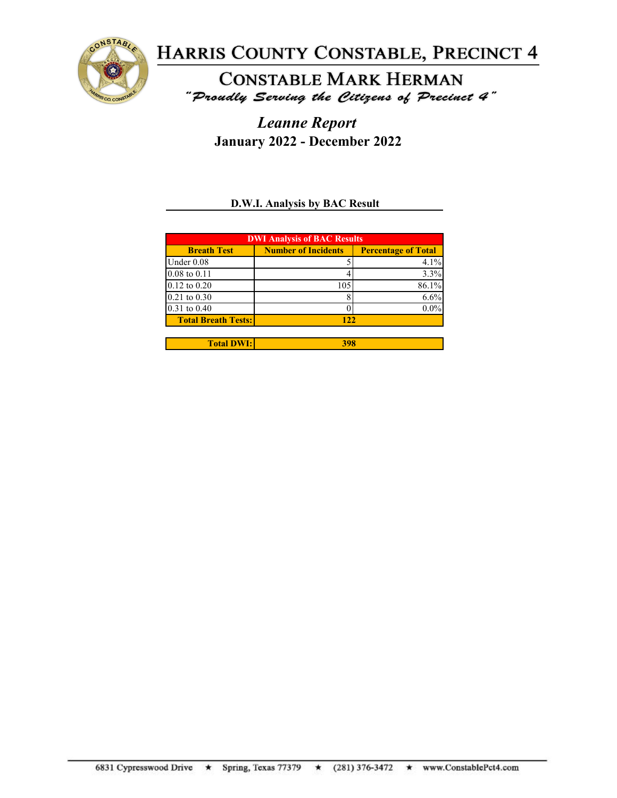

**CONSTABLE MARK HERMAN** "Proudly Serving the Citizens of Precinct 4"

*Leanne Report* **January 2022 - December 2022**

### **D.W.I. Analysis by BAC Result**

| <b>DWI Analysis of BAC Results</b> |                            |                            |  |
|------------------------------------|----------------------------|----------------------------|--|
| <b>Breath Test</b>                 | <b>Number of Incidents</b> | <b>Percentage of Total</b> |  |
| Under 0.08                         |                            | 4.1%                       |  |
| $0.08 \text{ to } 0.11$            |                            | 3.3%                       |  |
| $0.12$ to $0.20$                   | 105                        | 86.1%                      |  |
| $0.21$ to $0.30$                   |                            | 6.6%                       |  |
| $0.31$ to $0.40$                   |                            | $0.0\%$                    |  |
| <b>Total Breath Tests:</b>         | 122                        |                            |  |
|                                    |                            |                            |  |
| <b>Total DWI:</b>                  | 398                        |                            |  |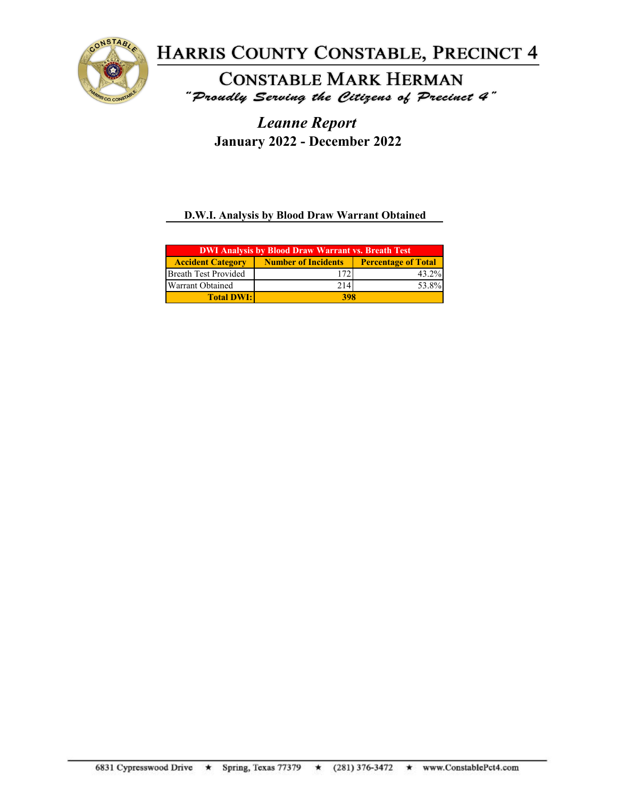

**CONSTABLE MARK HERMAN** "Proudly Serving the Citizens of Precinct 4"

*Leanne Report* **January 2022 - December 2022**

**D.W.I. Analysis by Blood Draw Warrant Obtained**

| <b>DWI Analysis by Blood Draw Warrant vs. Breath Test</b> |                            |                            |  |
|-----------------------------------------------------------|----------------------------|----------------------------|--|
| <b>Accident Category</b>                                  | <b>Number of Incidents</b> | <b>Percentage of Total</b> |  |
| Breath Test Provided                                      | 72                         | 43.2%                      |  |
| <b>Warrant Obtained</b>                                   | 214                        | 53.8%                      |  |
| <b>Total DWI:</b>                                         | 398                        |                            |  |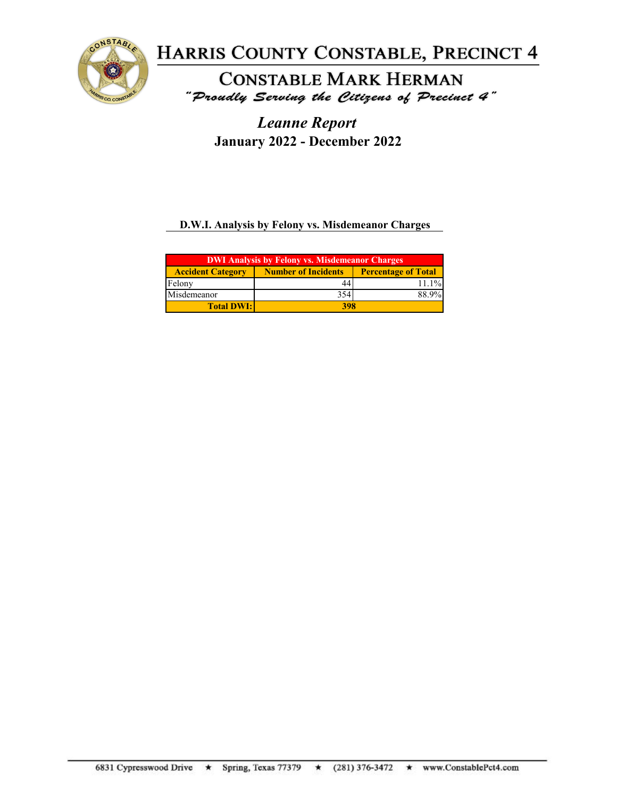

**CONSTABLE MARK HERMAN** "Proudly Serving the Citizens of Precinct 4"

*Leanne Report* **January 2022 - December 2022**

### **D.W.I. Analysis by Felony vs. Misdemeanor Charges**

| <b>DWI Analysis by Felony vs. Misdemeanor Charges</b> |                                                          |       |  |
|-------------------------------------------------------|----------------------------------------------------------|-------|--|
| <b>Accident Category</b>                              | <b>Number of Incidents</b><br><b>Percentage of Total</b> |       |  |
| Felony                                                | 44                                                       | 11.1% |  |
| Misdemeanor                                           | 354                                                      | 88.9% |  |
| <b>Total DWI:</b>                                     | 398                                                      |       |  |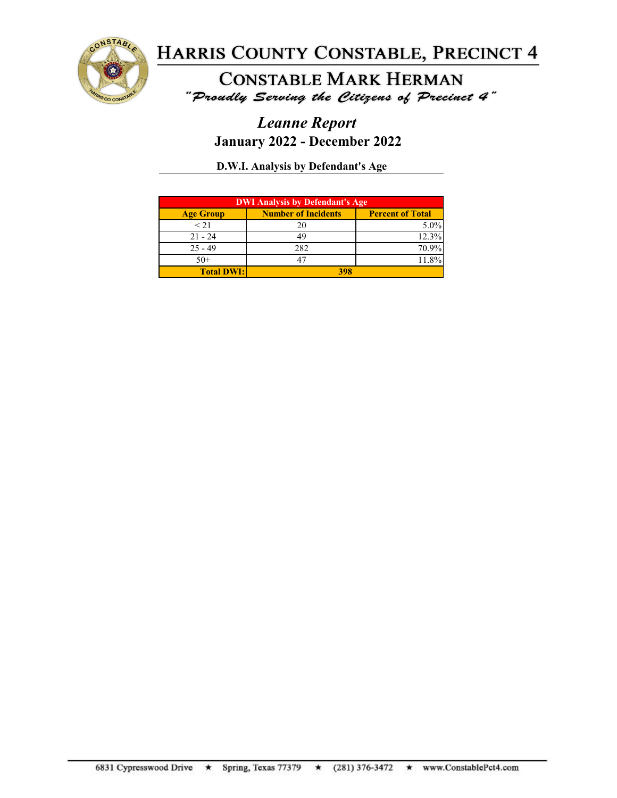

**CONSTABLE MARK HERMAN** "Proudly Serving the Citizens of Precinct 4"

## *Leanne Report* **January 2022 - December 2022**

**D.W.I. Analysis by Defendant's Age**

| <b>DWI Analysis by Defendant's Age</b> |                            |                         |
|----------------------------------------|----------------------------|-------------------------|
| <b>Age Group</b>                       | <b>Number of Incidents</b> | <b>Percent of Total</b> |
| $\leq$ 21                              | 20                         | $5.0\%$                 |
| $21 - 24$                              |                            | 12.3%                   |
| $25 - 49$                              | 282                        | 70.9%                   |
| $50+$                                  |                            | 11.8%                   |
| <b>Total DWI:</b>                      | 398                        |                         |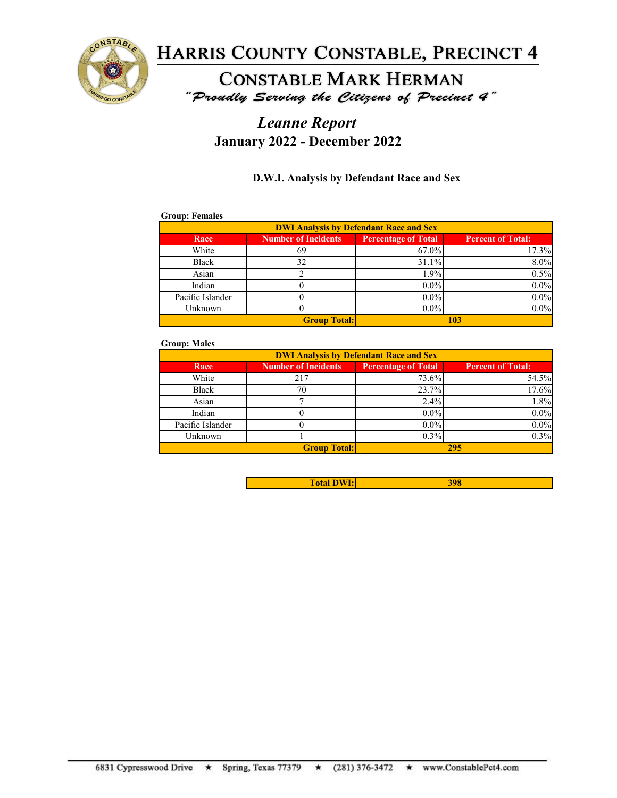

### **CONSTABLE MARK HERMAN** "Proudly Serving the Citizens of Precinct 4"

## *Leanne Report* **January 2022 - December 2022**

#### **D.W.I. Analysis by Defendant Race and Sex**

#### **Group: Females**

| <b>DWI Analysis by Defendant Race and Sex</b> |                            |                            |                          |
|-----------------------------------------------|----------------------------|----------------------------|--------------------------|
| Race                                          | <b>Number of Incidents</b> | <b>Percentage of Total</b> | <b>Percent of Total:</b> |
| White                                         | 69                         | 67.0%                      | 17.3%                    |
| Black                                         | 32                         | 31.1%                      | 8.0%                     |
| Asian                                         |                            | 1.9%                       | 0.5%                     |
| Indian                                        |                            | $0.0\%$                    | $0.0\%$                  |
| Pacific Islander                              |                            | $0.0\%$                    | $0.0\%$                  |
| Unknown                                       |                            | $0.0\%$                    | $0.0\%$                  |
| <b>Group Total:</b><br>103                    |                            |                            |                          |

#### **Group: Males**

| <b>DWI Analysis by Defendant Race and Sex</b> |                            |                            |                          |
|-----------------------------------------------|----------------------------|----------------------------|--------------------------|
| Race                                          | <b>Number of Incidents</b> | <b>Percentage of Total</b> | <b>Percent of Total:</b> |
| White                                         | 217                        | 73.6%                      | 54.5%                    |
| Black                                         | 70                         | 23.7%                      | 17.6%                    |
| Asian                                         |                            | 2.4%                       | 1.8%                     |
| Indian                                        |                            | $0.0\%$                    | $0.0\%$                  |
| Pacific Islander                              |                            | $0.0\%$                    | $0.0\%$                  |
| Unknown                                       |                            | 0.3%                       | 0.3%                     |
|                                               | <b>Group Total:</b>        |                            | 295                      |

| <b>CONTRACTOR</b><br><b>The Second</b><br><b>Total L</b> |  |
|----------------------------------------------------------|--|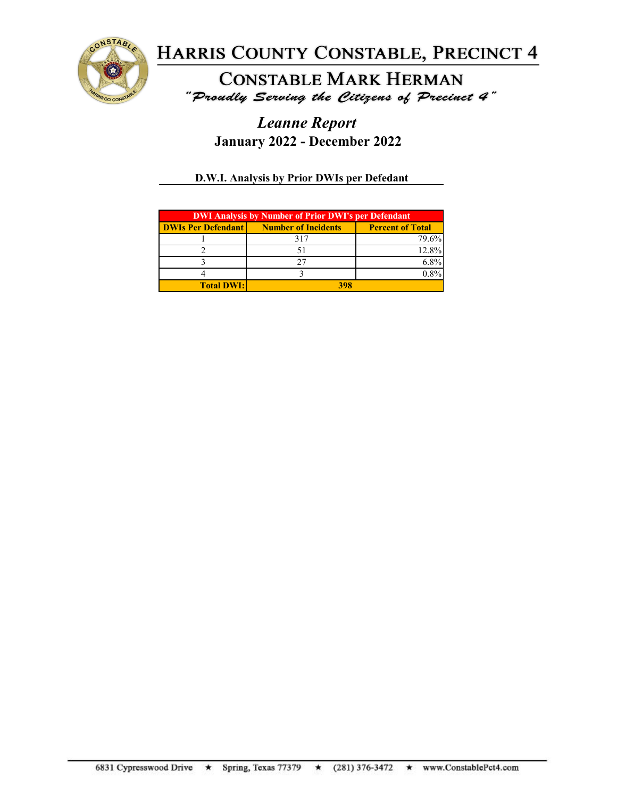

**CONSTABLE MARK HERMAN** "Proudly Serving the Citizens of Precinct 4"

## *Leanne Report* **January 2022 - December 2022**

#### **D.W.I. Analysis by Prior DWIs per Defedant**

| <b>DWI Analysis by Number of Prior DWI's per Defendant</b> |                            |                         |
|------------------------------------------------------------|----------------------------|-------------------------|
| <b>DWIs Per Defendant</b>                                  | <b>Number of Incidents</b> | <b>Percent of Total</b> |
|                                                            | 317                        | 79.6%                   |
|                                                            |                            | 12.8%                   |
|                                                            |                            |                         |
|                                                            |                            |                         |
| <b>Total DWI:</b>                                          | 398                        |                         |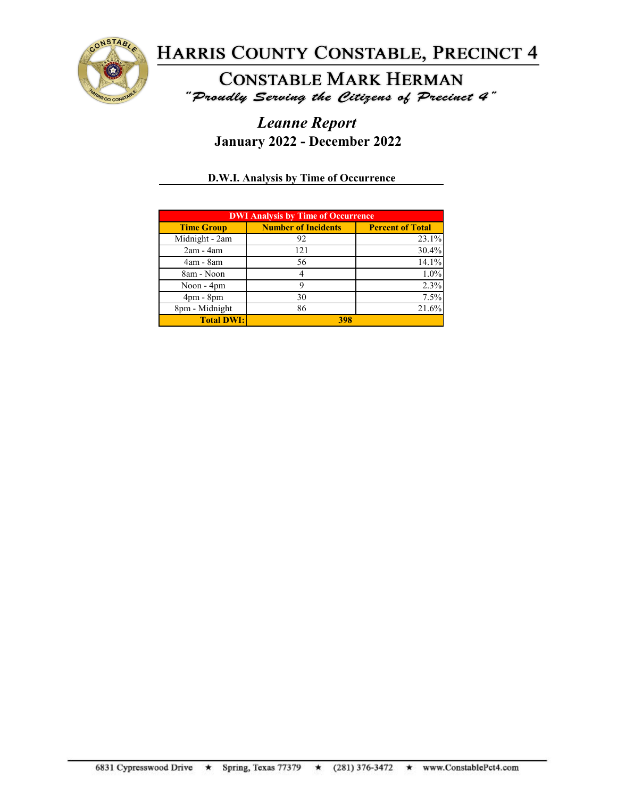

**CONSTABLE MARK HERMAN** "Proudly Serving the Citizens of Precinct 4"

## *Leanne Report* **January 2022 - December 2022**

#### **D.W.I. Analysis by Time of Occurrence**

| <b>DWI Analysis by Time of Occurrence</b> |                            |                         |
|-------------------------------------------|----------------------------|-------------------------|
| <b>Time Group</b>                         | <b>Number of Incidents</b> | <b>Percent of Total</b> |
| Midnight - 2am                            | 92                         | 23.1%                   |
| $2am - 4am$                               | 121                        | 30.4%                   |
| $4am - 8am$                               | 56                         | 14.1%                   |
| 8am - Noon                                |                            | $1.0\%$                 |
| Noon - 4pm                                |                            | 2.3%                    |
| $4pm - 8pm$                               | 30                         | 7.5%                    |
| 8pm - Midnight                            | 86                         | 21.6%                   |
| <b>Total DWI:</b>                         | 398                        |                         |